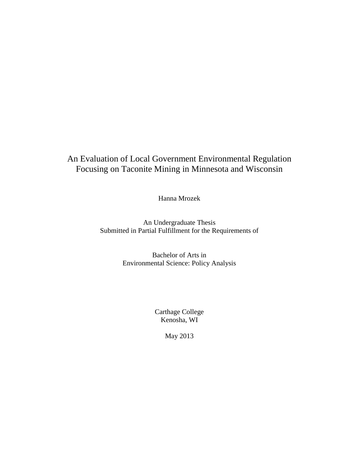# An Evaluation of Local Government Environmental Regulation Focusing on Taconite Mining in Minnesota and Wisconsin

Hanna Mrozek

An Undergraduate Thesis Submitted in Partial Fulfillment for the Requirements of

> Bachelor of Arts in Environmental Science: Policy Analysis

> > Carthage College Kenosha, WI

> > > May 2013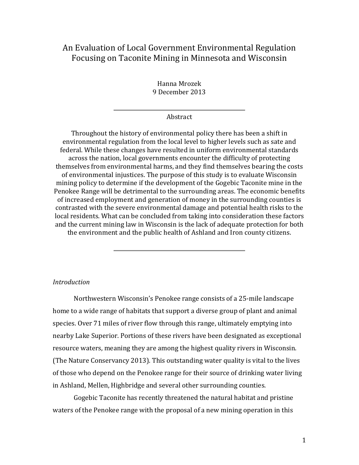## An Evaluation of Local Government Environmental Regulation Focusing on Taconite Mining in Minnesota and Wisconsin

Hanna Mrozek 9 December 2013

#### Abstract

Throughout the history of environmental policy there has been a shift in environmental regulation from the local level to higher levels such as sate and federal. While these changes have resulted in uniform environmental standards across the nation, local governments encounter the difficulty of protecting themselves from environmental harms, and they find themselves bearing the costs of environmental injustices. The purpose of this study is to evaluate Wisconsin mining policy to determine if the development of the Gogebic Taconite mine in the Penokee Range will be detrimental to the surrounding areas. The economic benefits of increased employment and generation of money in the surrounding counties is contrasted with the severe environmental damage and potential health risks to the local residents. What can be concluded from taking into consideration these factors and the current mining law in Wisconsin is the lack of adequate protection for both the environment and the public health of Ashland and Iron county citizens.

## *Introduction*

Northwestern Wisconsin's Penokee range consists of a 25-mile landscape home to a wide range of habitats that support a diverse group of plant and animal species. Over 71 miles of river flow through this range, ultimately emptying into nearby Lake Superior. Portions of these rivers have been designated as exceptional resource waters, meaning they are among the highest quality rivers in Wisconsin. (The Nature Conservancy 2013). This outstanding water quality is vital to the lives of those who depend on the Penokee range for their source of drinking water living in Ashland, Mellen, Highbridge and several other surrounding counties.

Gogebic Taconite has recently threatened the natural habitat and pristine waters of the Penokee range with the proposal of a new mining operation in this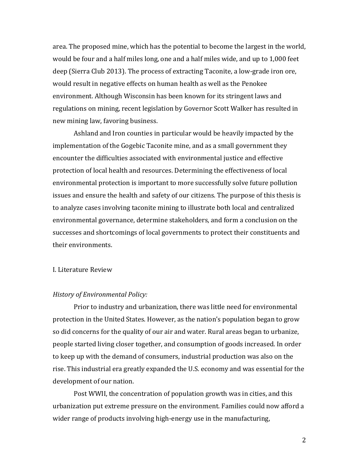area. The proposed mine, which has the potential to become the largest in the world, would be four and a half miles long, one and a half miles wide, and up to 1,000 feet deep (Sierra Club 2013). The process of extracting Taconite, a low-grade iron ore, would result in negative effects on human health as well as the Penokee environment. Although Wisconsin has been known for its stringent laws and regulations on mining, recent legislation by Governor Scott Walker has resulted in new mining law, favoring business.

Ashland and Iron counties in particular would be heavily impacted by the implementation of the Gogebic Taconite mine, and as a small government they encounter the difficulties associated with environmental justice and effective protection of local health and resources. Determining the effectiveness of local environmental protection is important to more successfully solve future pollution issues and ensure the health and safety of our citizens. The purpose of this thesis is to analyze cases involving taconite mining to illustrate both local and centralized environmental governance, determine stakeholders, and form a conclusion on the successes and shortcomings of local governments to protect their constituents and their environments.

## I. Literature Review

#### *History of Environmental Policy:*

Prior to industry and urbanization, there was little need for environmental protection in the United States. However, as the nation's population began to grow so did concerns for the quality of our air and water. Rural areas began to urbanize, people started living closer together, and consumption of goods increased. In order to keep up with the demand of consumers, industrial production was also on the rise. This industrial era greatly expanded the U.S. economy and was essential for the development of our nation.

Post WWII, the concentration of population growth was in cities, and this urbanization put extreme pressure on the environment. Families could now afford a wider range of products involving high-energy use in the manufacturing,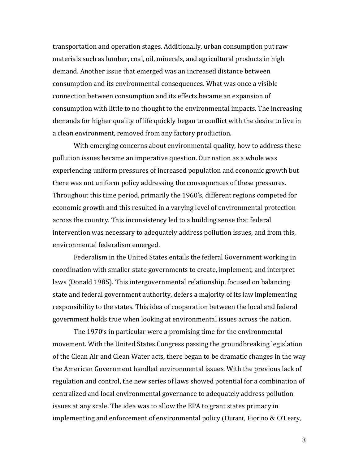transportation and operation stages. Additionally, urban consumption put raw materials such as lumber, coal, oil, minerals, and agricultural products in high demand. Another issue that emerged was an increased distance between consumption and its environmental consequences. What was once a visible connection between consumption and its effects became an expansion of consumption with little to no thought to the environmental impacts. The increasing demands for higher quality of life quickly began to conflict with the desire to live in a clean environment, removed from any factory production.

With emerging concerns about environmental quality, how to address these pollution issues became an imperative question. Our nation as a whole was experiencing uniform pressures of increased population and economic growth but there was not uniform policy addressing the consequences of these pressures. Throughout this time period, primarily the 1960's, different regions competed for economic growth and this resulted in a varying level of environmental protection across the country. This inconsistency led to a building sense that federal intervention was necessary to adequately address pollution issues, and from this, environmental federalism emerged.

Federalism in the United States entails the federal Government working in coordination with smaller state governments to create, implement, and interpret laws (Donald 1985). This intergovernmental relationship, focused on balancing state and federal government authority, defers a majority of its law implementing responsibility to the states. This idea of cooperation between the local and federal government holds true when looking at environmental issues across the nation.

The 1970's in particular were a promising time for the environmental movement. With the United States Congress passing the groundbreaking legislation of the Clean Air and Clean Water acts, there began to be dramatic changes in the way the American Government handled environmental issues. With the previous lack of regulation and control, the new series of laws showed potential for a combination of centralized and local environmental governance to adequately address pollution issues at any scale. The idea was to allow the EPA to grant states primacy in implementing and enforcement of environmental policy (Durant, Fiorino & O'Leary,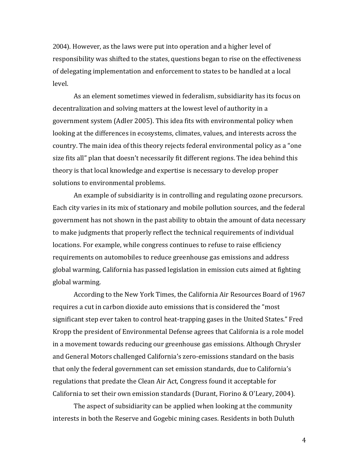2004). However, as the laws were put into operation and a higher level of responsibility was shifted to the states, questions began to rise on the effectiveness of delegating implementation and enforcement to states to be handled at a local level.

As an element sometimes viewed in federalism, subsidiarity has its focus on decentralization and solving matters at the lowest level of authority in a government system (Adler 2005). This idea fits with environmental policy when looking at the differences in ecosystems, climates, values, and interests across the country. The main idea of this theory rejects federal environmental policy as a "one size fits all" plan that doesn't necessarily fit different regions. The idea behind this theory is that local knowledge and expertise is necessary to develop proper solutions to environmental problems.

An example of subsidiarity is in controlling and regulating ozone precursors. Each city varies in its mix of stationary and mobile pollution sources, and the federal government has not shown in the past ability to obtain the amount of data necessary to make judgments that properly reflect the technical requirements of individual locations. For example, while congress continues to refuse to raise efficiency requirements on automobiles to reduce greenhouse gas emissions and address global warming, California has passed legislation in emission cuts aimed at fighting global warming.

According to the New York Times, the California Air Resources Board of 1967 requires a cut in carbon dioxide auto emissions that is considered the "most significant step ever taken to control heat-trapping gases in the United States." Fred Kropp the president of Environmental Defense agrees that California is a role model in a movement towards reducing our greenhouse gas emissions. Although Chrysler and General Motors challenged California's zero-emissions standard on the basis that only the federal government can set emission standards, due to California's regulations that predate the Clean Air Act, Congress found it acceptable for California to set their own emission standards (Durant, Fiorino & O'Leary, 2004).

The aspect of subsidiarity can be applied when looking at the community interests in both the Reserve and Gogebic mining cases. Residents in both Duluth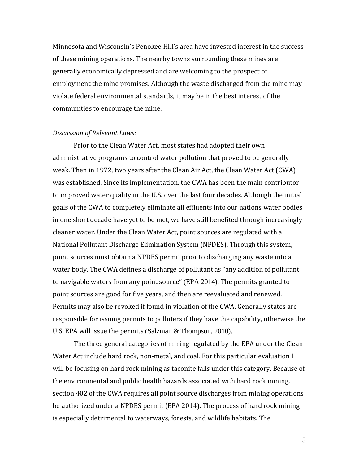Minnesota and Wisconsin's Penokee Hill's area have invested interest in the success of these mining operations. The nearby towns surrounding these mines are generally economically depressed and are welcoming to the prospect of employment the mine promises. Although the waste discharged from the mine may violate federal environmental standards, it may be in the best interest of the communities to encourage the mine.

#### *Discussion of Relevant Laws:*

Prior to the Clean Water Act, most states had adopted their own administrative programs to control water pollution that proved to be generally weak. Then in 1972, two years after the Clean Air Act, the Clean Water Act (CWA) was established. Since its implementation, the CWA has been the main contributor to improved water quality in the U.S. over the last four decades. Although the initial goals of the CWA to completely eliminate all effluents into our nations water bodies in one short decade have yet to be met, we have still benefited through increasingly cleaner water. Under the Clean Water Act, point sources are regulated with a National Pollutant Discharge Elimination System (NPDES). Through this system, point sources must obtain a NPDES permit prior to discharging any waste into a water body. The CWA defines a discharge of pollutant as "any addition of pollutant to navigable waters from any point source" (EPA 2014). The permits granted to point sources are good for five years, and then are reevaluated and renewed. Permits may also be revoked if found in violation of the CWA. Generally states are responsible for issuing permits to polluters if they have the capability, otherwise the U.S. EPA will issue the permits (Salzman & Thompson, 2010).

The three general categories of mining regulated by the EPA under the Clean Water Act include hard rock, non-metal, and coal. For this particular evaluation I will be focusing on hard rock mining as taconite falls under this category. Because of the environmental and public health hazards associated with hard rock mining, section 402 of the CWA requires all point source discharges from mining operations be authorized under a NPDES permit (EPA 2014). The process of hard rock mining is especially detrimental to waterways, forests, and wildlife habitats. The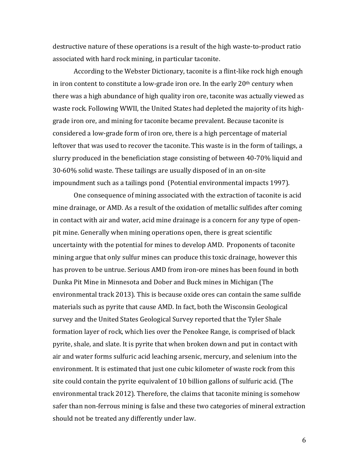destructive nature of these operations is a result of the high waste-to-product ratio associated with hard rock mining, in particular taconite.

According to the Webster Dictionary, taconite is a flint-like rock high enough in iron content to constitute a low-grade iron ore. In the early  $20<sup>th</sup>$  century when there was a high abundance of high quality iron ore, taconite was actually viewed as waste rock. Following WWII, the United States had depleted the majority of its highgrade iron ore, and mining for taconite became prevalent. Because taconite is considered a low-grade form of iron ore, there is a high percentage of material leftover that was used to recover the taconite. This waste is in the form of tailings, a slurry produced in the beneficiation stage consisting of between 40-70% liquid and 30-60% solid waste. These tailings are usually disposed of in an on-site impoundment such as a tailings pond (Potential environmental impacts 1997).

One consequence of mining associated with the extraction of taconite is acid mine drainage, or AMD. As a result of the oxidation of metallic sulfides after coming in contact with air and water, acid mine drainage is a concern for any type of openpit mine. Generally when mining operations open, there is great scientific uncertainty with the potential for mines to develop AMD. Proponents of taconite mining argue that only sulfur mines can produce this toxic drainage, however this has proven to be untrue. Serious AMD from iron-ore mines has been found in both Dunka Pit Mine in Minnesota and Dober and Buck mines in Michigan (The environmental track 2013). This is because oxide ores can contain the same sulfide materials such as pyrite that cause AMD. In fact, both the Wisconsin Geological survey and the United States Geological Survey reported that the Tyler Shale formation layer of rock, which lies over the Penokee Range, is comprised of black pyrite, shale, and slate. It is pyrite that when broken down and put in contact with air and water forms sulfuric acid leaching arsenic, mercury, and selenium into the environment. It is estimated that just one cubic kilometer of waste rock from this site could contain the pyrite equivalent of 10 billion gallons of sulfuric acid. (The environmental track 2012). Therefore, the claims that taconite mining is somehow safer than non-ferrous mining is false and these two categories of mineral extraction should not be treated any differently under law.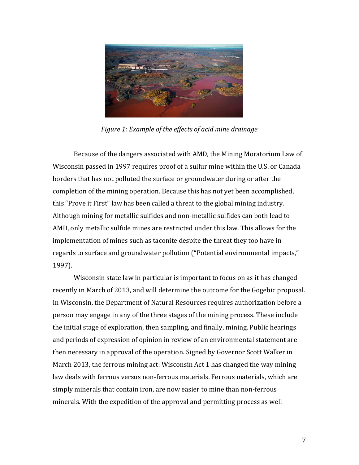

*Figure 1: Example of the effects of acid mine drainage*

Because of the dangers associated with AMD, the Mining Moratorium Law of Wisconsin passed in 1997 requires proof of a sulfur mine within the U.S. or Canada borders that has not polluted the surface or groundwater during or after the completion of the mining operation. Because this has not yet been accomplished, this "Prove it First" law has been called a threat to the global mining industry. Although mining for metallic sulfides and non-metallic sulfides can both lead to AMD, only metallic sulfide mines are restricted under this law. This allows for the implementation of mines such as taconite despite the threat they too have in regards to surface and groundwater pollution ("Potential environmental impacts," 1997).

Wisconsin state law in particular is important to focus on as it has changed recently in March of 2013, and will determine the outcome for the Gogebic proposal. In Wisconsin, the Department of Natural Resources requires authorization before a person may engage in any of the three stages of the mining process. These include the initial stage of exploration, then sampling, and finally, mining. Public hearings and periods of expression of opinion in review of an environmental statement are then necessary in approval of the operation. Signed by Governor Scott Walker in March 2013, the ferrous mining act: Wisconsin Act 1 has changed the way mining law deals with ferrous versus non-ferrous materials. Ferrous materials, which are simply minerals that contain iron, are now easier to mine than non-ferrous minerals. With the expedition of the approval and permitting process as well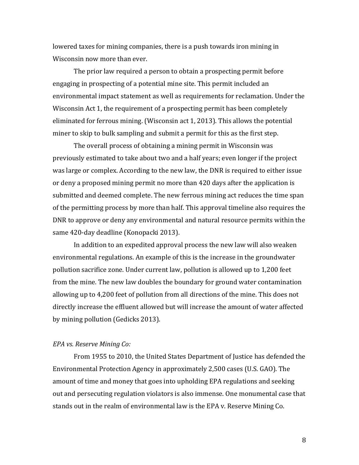lowered taxes for mining companies, there is a push towards iron mining in Wisconsin now more than ever.

The prior law required a person to obtain a prospecting permit before engaging in prospecting of a potential mine site. This permit included an environmental impact statement as well as requirements for reclamation. Under the Wisconsin Act 1, the requirement of a prospecting permit has been completely eliminated for ferrous mining. (Wisconsin act 1, 2013). This allows the potential miner to skip to bulk sampling and submit a permit for this as the first step.

The overall process of obtaining a mining permit in Wisconsin was previously estimated to take about two and a half years; even longer if the project was large or complex. According to the new law, the DNR is required to either issue or deny a proposed mining permit no more than 420 days after the application is submitted and deemed complete. The new ferrous mining act reduces the time span of the permitting process by more than half. This approval timeline also requires the DNR to approve or deny any environmental and natural resource permits within the same 420-day deadline (Konopacki 2013).

In addition to an expedited approval process the new law will also weaken environmental regulations. An example of this is the increase in the groundwater pollution sacrifice zone. Under current law, pollution is allowed up to 1,200 feet from the mine. The new law doubles the boundary for ground water contamination allowing up to 4,200 feet of pollution from all directions of the mine. This does not directly increase the effluent allowed but will increase the amount of water affected by mining pollution (Gedicks 2013).

## *EPA vs. Reserve Mining Co:*

From 1955 to 2010, the United States Department of Justice has defended the Environmental Protection Agency in approximately 2,500 cases (U.S. GAO). The amount of time and money that goes into upholding EPA regulations and seeking out and persecuting regulation violators is also immense. One monumental case that stands out in the realm of environmental law is the EPA v. Reserve Mining Co.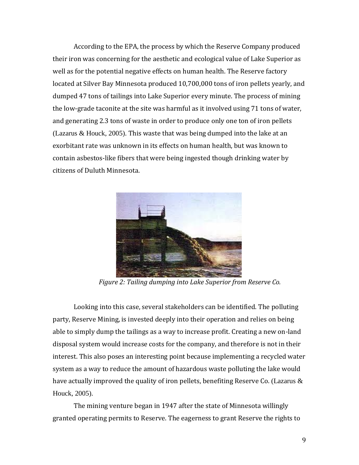According to the EPA, the process by which the Reserve Company produced their iron was concerning for the aesthetic and ecological value of Lake Superior as well as for the potential negative effects on human health. The Reserve factory located at Silver Bay Minnesota produced 10,700,000 tons of iron pellets yearly, and dumped 47 tons of tailings into Lake Superior every minute. The process of mining the low-grade taconite at the site was harmful as it involved using 71 tons of water, and generating 2.3 tons of waste in order to produce only one ton of iron pellets (Lazarus & Houck, 2005). This waste that was being dumped into the lake at an exorbitant rate was unknown in its effects on human health, but was known to contain asbestos-like fibers that were being ingested though drinking water by citizens of Duluth Minnesota.



*Figure 2: Tailing dumping into Lake Superior from Reserve Co.* 

Looking into this case, several stakeholders can be identified. The polluting party, Reserve Mining, is invested deeply into their operation and relies on being able to simply dump the tailings as a way to increase profit. Creating a new on-land disposal system would increase costs for the company, and therefore is not in their interest. This also poses an interesting point because implementing a recycled water system as a way to reduce the amount of hazardous waste polluting the lake would have actually improved the quality of iron pellets, benefiting Reserve Co. (Lazarus  $\&$ Houck, 2005).

The mining venture began in 1947 after the state of Minnesota willingly granted operating permits to Reserve. The eagerness to grant Reserve the rights to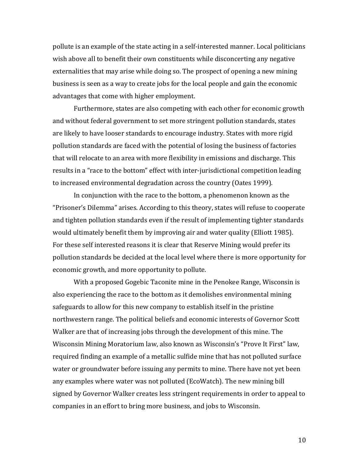pollute is an example of the state acting in a self-interested manner. Local politicians wish above all to benefit their own constituents while disconcerting any negative externalities that may arise while doing so. The prospect of opening a new mining business is seen as a way to create jobs for the local people and gain the economic advantages that come with higher employment.

Furthermore, states are also competing with each other for economic growth and without federal government to set more stringent pollution standards, states are likely to have looser standards to encourage industry. States with more rigid pollution standards are faced with the potential of losing the business of factories that will relocate to an area with more flexibility in emissions and discharge. This results in a "race to the bottom" effect with inter-jurisdictional competition leading to increased environmental degradation across the country (Oates 1999).

In conjunction with the race to the bottom, a phenomenon known as the "Prisoner's Dilemma" arises. According to this theory, states will refuse to cooperate and tighten pollution standards even if the result of implementing tighter standards would ultimately benefit them by improving air and water quality (Elliott 1985). For these self interested reasons it is clear that Reserve Mining would prefer its pollution standards be decided at the local level where there is more opportunity for economic growth, and more opportunity to pollute.

With a proposed Gogebic Taconite mine in the Penokee Range, Wisconsin is also experiencing the race to the bottom as it demolishes environmental mining safeguards to allow for this new company to establish itself in the pristine northwestern range. The political beliefs and economic interests of Governor Scott Walker are that of increasing jobs through the development of this mine. The Wisconsin Mining Moratorium law, also known as Wisconsin's "Prove It First" law, required finding an example of a metallic sulfide mine that has not polluted surface water or groundwater before issuing any permits to mine. There have not yet been any examples where water was not polluted (EcoWatch). The new mining bill signed by Governor Walker creates less stringent requirements in order to appeal to companies in an effort to bring more business, and jobs to Wisconsin.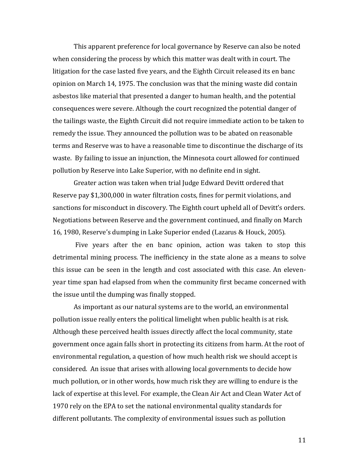This apparent preference for local governance by Reserve can also be noted when considering the process by which this matter was dealt with in court. The litigation for the case lasted five years, and the Eighth Circuit released its en banc opinion on March 14, 1975. The conclusion was that the mining waste did contain asbestos like material that presented a danger to human health, and the potential consequences were severe. Although the court recognized the potential danger of the tailings waste, the Eighth Circuit did not require immediate action to be taken to remedy the issue. They announced the pollution was to be abated on reasonable terms and Reserve was to have a reasonable time to discontinue the discharge of its waste. By failing to issue an injunction, the Minnesota court allowed for continued pollution by Reserve into Lake Superior, with no definite end in sight.

Greater action was taken when trial Judge Edward Devitt ordered that Reserve pay \$1,300,000 in water filtration costs, fines for permit violations, and sanctions for misconduct in discovery. The Eighth court upheld all of Devitt's orders. Negotiations between Reserve and the government continued, and finally on March 16, 1980, Reserve's dumping in Lake Superior ended (Lazarus & Houck, 2005).

Five years after the en banc opinion, action was taken to stop this detrimental mining process. The inefficiency in the state alone as a means to solve this issue can be seen in the length and cost associated with this case. An elevenyear time span had elapsed from when the community first became concerned with the issue until the dumping was finally stopped.

As important as our natural systems are to the world, an environmental pollution issue really enters the political limelight when public health is at risk. Although these perceived health issues directly affect the local community, state government once again falls short in protecting its citizens from harm. At the root of environmental regulation, a question of how much health risk we should accept is considered. An issue that arises with allowing local governments to decide how much pollution, or in other words, how much risk they are willing to endure is the lack of expertise at this level. For example, the Clean Air Act and Clean Water Act of 1970 rely on the EPA to set the national environmental quality standards for different pollutants. The complexity of environmental issues such as pollution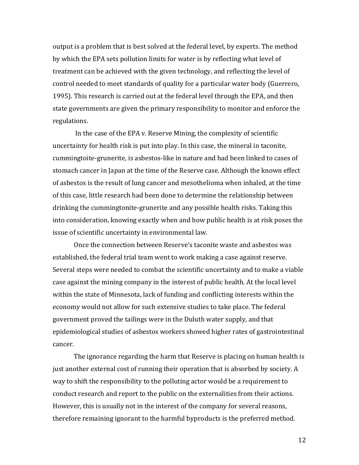output is a problem that is best solved at the federal level, by experts. The method by which the EPA sets pollution limits for water is by reflecting what level of treatment can be achieved with the given technology, and reflecting the level of control needed to meet standards of quality for a particular water body (Guerrero, 1995). This research is carried out at the federal level through the EPA, and then state governments are given the primary responsibility to monitor and enforce the regulations.

In the case of the EPA v. Reserve Mining, the complexity of scientific uncertainty for health risk is put into play. In this case, the mineral in taconite, cummingtoite-grunerite, is asbestos-like in nature and had been linked to cases of stomach cancer in Japan at the time of the Reserve case. Although the known effect of asbestos is the result of lung cancer and mesothelioma when inhaled, at the time of this case, little research had been done to determine the relationship between drinking the cummingtonite-grunerite and any possible health risks. Taking this into consideration, knowing exactly when and how public health is at risk poses the issue of scientific uncertainty in environmental law.

Once the connection between Reserve's taconite waste and asbestos was established, the federal trial team went to work making a case against reserve. Several steps were needed to combat the scientific uncertainty and to make a viable case against the mining company in the interest of public health. At the local level within the state of Minnesota, lack of funding and conflicting interests within the economy would not allow for such extensive studies to take place. The federal government proved the tailings were in the Duluth water supply, and that epidemiological studies of asbestos workers showed higher rates of gastrointestinal cancer.

The ignorance regarding the harm that Reserve is placing on human health is just another external cost of running their operation that is absorbed by society. A way to shift the responsibility to the polluting actor would be a requirement to conduct research and report to the public on the externalities from their actions. However, this is usually not in the interest of the company for several reasons, therefore remaining ignorant to the harmful byproducts is the preferred method.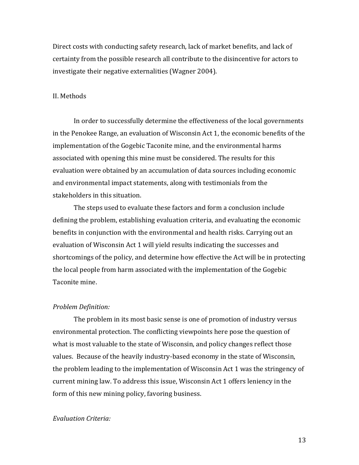Direct costs with conducting safety research, lack of market benefits, and lack of certainty from the possible research all contribute to the disincentive for actors to investigate their negative externalities (Wagner 2004).

## II. Methods

In order to successfully determine the effectiveness of the local governments in the Penokee Range, an evaluation of Wisconsin Act 1, the economic benefits of the implementation of the Gogebic Taconite mine, and the environmental harms associated with opening this mine must be considered. The results for this evaluation were obtained by an accumulation of data sources including economic and environmental impact statements, along with testimonials from the stakeholders in this situation.

The steps used to evaluate these factors and form a conclusion include defining the problem, establishing evaluation criteria, and evaluating the economic benefits in conjunction with the environmental and health risks. Carrying out an evaluation of Wisconsin Act 1 will yield results indicating the successes and shortcomings of the policy, and determine how effective the Act will be in protecting the local people from harm associated with the implementation of the Gogebic Taconite mine.

#### *Problem Definition:*

The problem in its most basic sense is one of promotion of industry versus environmental protection. The conflicting viewpoints here pose the question of what is most valuable to the state of Wisconsin, and policy changes reflect those values. Because of the heavily industry-based economy in the state of Wisconsin, the problem leading to the implementation of Wisconsin Act 1 was the stringency of current mining law. To address this issue, Wisconsin Act 1 offers leniency in the form of this new mining policy, favoring business.

## *Evaluation Criteria:*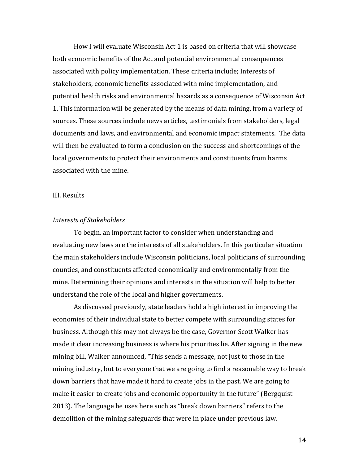How I will evaluate Wisconsin Act 1 is based on criteria that will showcase both economic benefits of the Act and potential environmental consequences associated with policy implementation. These criteria include; Interests of stakeholders, economic benefits associated with mine implementation, and potential health risks and environmental hazards as a consequence of Wisconsin Act 1. This information will be generated by the means of data mining, from a variety of sources. These sources include news articles, testimonials from stakeholders, legal documents and laws, and environmental and economic impact statements. The data will then be evaluated to form a conclusion on the success and shortcomings of the local governments to protect their environments and constituents from harms associated with the mine.

## III. Results

## *Interests of Stakeholders*

To begin, an important factor to consider when understanding and evaluating new laws are the interests of all stakeholders. In this particular situation the main stakeholders include Wisconsin politicians, local politicians of surrounding counties, and constituents affected economically and environmentally from the mine. Determining their opinions and interests in the situation will help to better understand the role of the local and higher governments.

As discussed previously, state leaders hold a high interest in improving the economies of their individual state to better compete with surrounding states for business. Although this may not always be the case, Governor Scott Walker has made it clear increasing business is where his priorities lie. After signing in the new mining bill, Walker announced, "This sends a message, not just to those in the mining industry, but to everyone that we are going to find a reasonable way to break down barriers that have made it hard to create jobs in the past. We are going to make it easier to create jobs and economic opportunity in the future" (Bergquist 2013). The language he uses here such as "break down barriers" refers to the demolition of the mining safeguards that were in place under previous law.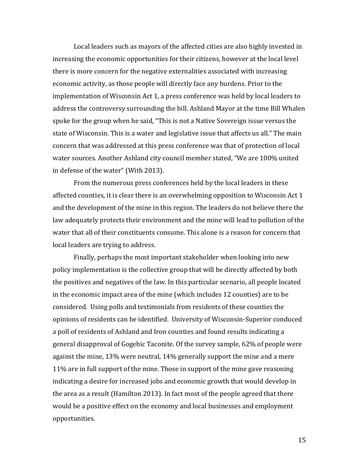Local leaders such as mayors of the affected cities are also highly invested in increasing the economic opportunities for their citizens, however at the local level there is more concern for the negative externalities associated with increasing economic activity, as those people will directly face any burdens. Prior to the implementation of Wisconsin Act 1, a press conference was held by local leaders to address the controversy surrounding the bill. Ashland Mayor at the time Bill Whalen spoke for the group when he said, "This is not a Native Sovereign issue versus the state of Wisconsin. This is a water and legislative issue that affects us all." The main concern that was addressed at this press conference was that of protection of local water sources. Another Ashland city council member stated, "We are 100% united in defense of the water" (With 2013).

From the numerous press conferences held by the local leaders in these affected counties, it is clear there is an overwhelming opposition to Wisconsin Act 1 and the development of the mine in this region. The leaders do not believe there the law adequately protects their environment and the mine will lead to pollution of the water that all of their constituents consume. This alone is a reason for concern that local leaders are trying to address.

Finally, perhaps the most important stakeholder when looking into new policy implementation is the collective group that will be directly affected by both the positives and negatives of the law. In this particular scenario, all people located in the economic impact area of the mine (which includes 12 counties) are to be considered. Using polls and testimonials from residents of these counties the opinions of residents can be identified. University of Wisconsin-Superior conduced a poll of residents of Ashland and Iron counties and found results indicating a general disapproval of Gogebic Taconite. Of the survey sample, 62% of people were against the mine, 13% were neutral, 14% generally support the mine and a mere 11% are in full support of the mine. Those in support of the mine gave reasoning indicating a desire for increased jobs and economic growth that would develop in the area as a result (Hamilton 2013). In fact most of the people agreed that there would be a positive effect on the economy and local businesses and employment opportunities.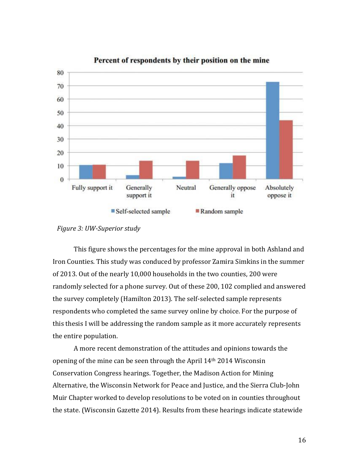

## Percent of respondents by their position on the mine

This figure shows the percentages for the mine approval in both Ashland and Iron Counties. This study was conduced by professor Zamira Simkins in the summer of 2013. Out of the nearly 10,000 households in the two counties, 200 were randomly selected for a phone survey. Out of these 200, 102 complied and answered the survey completely (Hamilton 2013). The self-selected sample represents respondents who completed the same survey online by choice. For the purpose of this thesis I will be addressing the random sample as it more accurately represents the entire population.

A more recent demonstration of the attitudes and opinions towards the opening of the mine can be seen through the April 14th 2014 Wisconsin Conservation Congress hearings. Together, the Madison Action for Mining Alternative, the Wisconsin Network for Peace and Justice, and the Sierra Club-John Muir Chapter worked to develop resolutions to be voted on in counties throughout the state. (Wisconsin Gazette 2014). Results from these hearings indicate statewide

*Figure 3: UW-Superior study*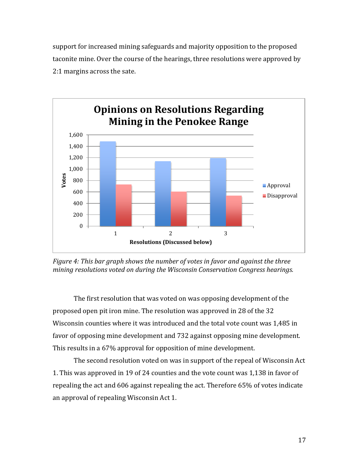support for increased mining safeguards and majority opposition to the proposed taconite mine. Over the course of the hearings, three resolutions were approved by 2:1 margins across the sate.



*Figure 4: This bar graph shows the number of votes in favor and against the three mining resolutions voted on during the Wisconsin Conservation Congress hearings.* 

The first resolution that was voted on was opposing development of the proposed open pit iron mine. The resolution was approved in 28 of the 32 Wisconsin counties where it was introduced and the total vote count was 1,485 in favor of opposing mine development and 732 against opposing mine development. This results in a 67% approval for opposition of mine development.

The second resolution voted on was in support of the repeal of Wisconsin Act 1. This was approved in 19 of 24 counties and the vote count was 1,138 in favor of repealing the act and 606 against repealing the act. Therefore 65% of votes indicate an approval of repealing Wisconsin Act 1.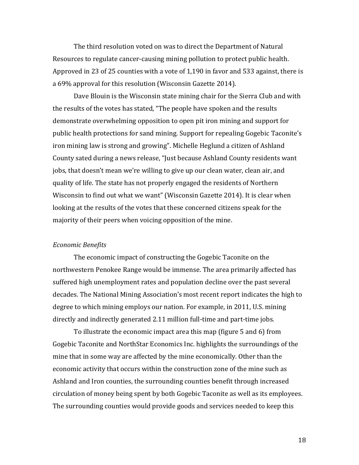The third resolution voted on was to direct the Department of Natural Resources to regulate cancer-causing mining pollution to protect public health. Approved in 23 of 25 counties with a vote of 1,190 in favor and 533 against, there is a 69% approval for this resolution (Wisconsin Gazette 2014).

Dave Blouin is the Wisconsin state mining chair for the Sierra Club and with the results of the votes has stated, "The people have spoken and the results demonstrate overwhelming opposition to open pit iron mining and support for public health protections for sand mining. Support for repealing Gogebic Taconite's iron mining law is strong and growing". Michelle Heglund a citizen of Ashland County sated during a news release, "Just because Ashland County residents want jobs, that doesn't mean we're willing to give up our clean water, clean air, and quality of life. The state has not properly engaged the residents of Northern Wisconsin to find out what we want" (Wisconsin Gazette 2014). It is clear when looking at the results of the votes that these concerned citizens speak for the majority of their peers when voicing opposition of the mine.

#### *Economic Benefits*

The economic impact of constructing the Gogebic Taconite on the northwestern Penokee Range would be immense. The area primarily affected has suffered high unemployment rates and population decline over the past several decades. The National Mining Association's most recent report indicates the high to degree to which mining employs our nation. For example, in 2011, U.S. mining directly and indirectly generated 2.11 million full-time and part-time jobs.

To illustrate the economic impact area this map (figure 5 and 6) from Gogebic Taconite and NorthStar Economics Inc. highlights the surroundings of the mine that in some way are affected by the mine economically. Other than the economic activity that occurs within the construction zone of the mine such as Ashland and Iron counties, the surrounding counties benefit through increased circulation of money being spent by both Gogebic Taconite as well as its employees. The surrounding counties would provide goods and services needed to keep this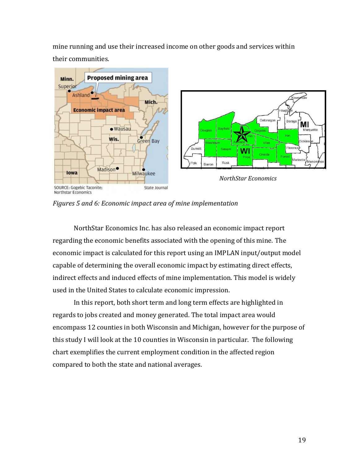mine running and use their increased income on other goods and services within their communities.



*Figures 5 and 6: Economic impact area of mine implementation* 

NorthStar Economics Inc. has also released an economic impact report regarding the economic benefits associated with the opening of this mine. The economic impact is calculated for this report using an IMPLAN input/output model capable of determining the overall economic impact by estimating direct effects, indirect effects and induced effects of mine implementation. This model is widely used in the United States to calculate economic impression.

In this report, both short term and long term effects are highlighted in regards to jobs created and money generated. The total impact area would encompass 12 counties in both Wisconsin and Michigan, however for the purpose of this study I will look at the 10 counties in Wisconsin in particular. The following chart exemplifies the current employment condition in the affected region compared to both the state and national averages.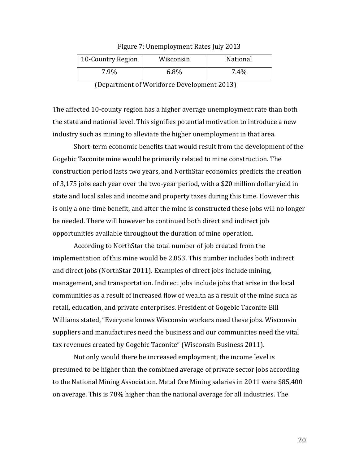| Figure 7: Unemployment Rates July 2013 |  |  |  |  |
|----------------------------------------|--|--|--|--|
|----------------------------------------|--|--|--|--|

| 10-Country Region | Wisconsin | National |
|-------------------|-----------|----------|
| 7.9%              | $6.8\%$   | 7.4%     |

(Department of Workforce Development 2013)

The affected 10-county region has a higher average unemployment rate than both the state and national level. This signifies potential motivation to introduce a new industry such as mining to alleviate the higher unemployment in that area.

Short-term economic benefits that would result from the development of the Gogebic Taconite mine would be primarily related to mine construction. The construction period lasts two years, and NorthStar economics predicts the creation of 3,175 jobs each year over the two-year period, with a \$20 million dollar yield in state and local sales and income and property taxes during this time. However this is only a one-time benefit, and after the mine is constructed these jobs will no longer be needed. There will however be continued both direct and indirect job opportunities available throughout the duration of mine operation.

According to NorthStar the total number of job created from the implementation of this mine would be 2,853. This number includes both indirect and direct jobs (NorthStar 2011). Examples of direct jobs include mining, management, and transportation. Indirect jobs include jobs that arise in the local communities as a result of increased flow of wealth as a result of the mine such as retail, education, and private enterprises. President of Gogebic Taconite Bill Williams stated, "Everyone knows Wisconsin workers need these jobs. Wisconsin suppliers and manufactures need the business and our communities need the vital tax revenues created by Gogebic Taconite" (Wisconsin Business 2011).

Not only would there be increased employment, the income level is presumed to be higher than the combined average of private sector jobs according to the National Mining Association. Metal Ore Mining salaries in 2011 were \$85,400 on average. This is 78% higher than the national average for all industries. The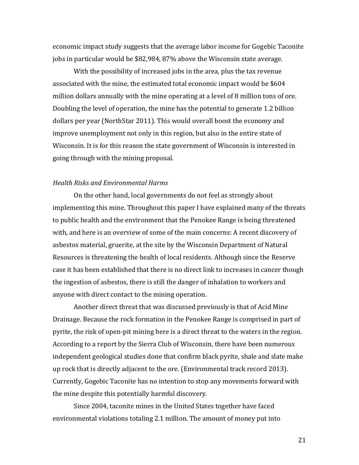economic impact study suggests that the average labor income for Gogebic Taconite jobs in particular would be \$82,984, 87% above the Wisconsin state average.

With the possibility of increased jobs in the area, plus the tax revenue associated with the mine, the estimated total economic impact would be \$604 million dollars annually with the mine operating at a level of 8 million tons of ore. Doubling the level of operation, the mine has the potential to generate 1.2 billion dollars per year (NorthStar 2011). This would overall boost the economy and improve unemployment not only in this region, but also in the entire state of Wisconsin. It is for this reason the state government of Wisconsin is interested in going through with the mining proposal.

## *Health Risks and Environmental Harms*

On the other hand, local governments do not feel as strongly about implementing this mine. Throughout this paper I have explained many of the threats to public health and the environment that the Penokee Range is being threatened with, and here is an overview of some of the main concerns: A recent discovery of asbestos material, gruerite, at the site by the Wisconsin Department of Natural Resources is threatening the health of local residents. Although since the Reserve case it has been established that there is no direct link to increases in cancer though the ingestion of asbestos, there is still the danger of inhalation to workers and anyone with direct contact to the mining operation.

Another direct threat that was discussed previously is that of Acid Mine Drainage. Because the rock formation in the Penokee Range is comprised in part of pyrite, the risk of open-pit mining here is a direct threat to the waters in the region. According to a report by the Sierra Club of Wisconsin, there have been numerous independent geological studies done that confirm black pyrite, shale and slate make up rock that is directly adjacent to the ore. (Environmental track record 2013). Currently, Gogebic Taconite has no intention to stop any movements forward with the mine despite this potentially harmful discovery.

Since 2004, taconite mines in the United States together have faced environmental violations totaling 2.1 million. The amount of money put into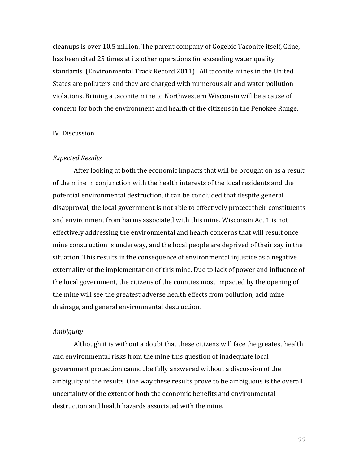cleanups is over 10.5 million. The parent company of Gogebic Taconite itself, Cline, has been cited 25 times at its other operations for exceeding water quality standards. (Environmental Track Record 2011). All taconite mines in the United States are polluters and they are charged with numerous air and water pollution violations. Brining a taconite mine to Northwestern Wisconsin will be a cause of concern for both the environment and health of the citizens in the Penokee Range.

## IV. Discussion

#### *Expected Results*

After looking at both the economic impacts that will be brought on as a result of the mine in conjunction with the health interests of the local residents and the potential environmental destruction, it can be concluded that despite general disapproval, the local government is not able to effectively protect their constituents and environment from harms associated with this mine. Wisconsin Act 1 is not effectively addressing the environmental and health concerns that will result once mine construction is underway, and the local people are deprived of their say in the situation. This results in the consequence of environmental injustice as a negative externality of the implementation of this mine. Due to lack of power and influence of the local government, the citizens of the counties most impacted by the opening of the mine will see the greatest adverse health effects from pollution, acid mine drainage, and general environmental destruction.

## *Ambiguity*

Although it is without a doubt that these citizens will face the greatest health and environmental risks from the mine this question of inadequate local government protection cannot be fully answered without a discussion of the ambiguity of the results. One way these results prove to be ambiguous is the overall uncertainty of the extent of both the economic benefits and environmental destruction and health hazards associated with the mine.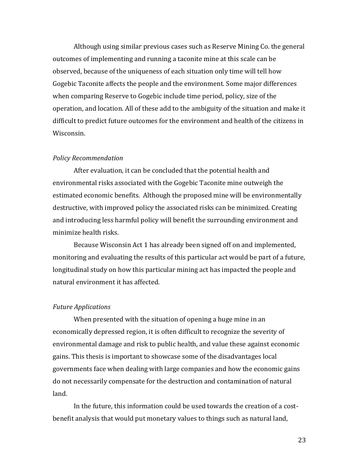Although using similar previous cases such as Reserve Mining Co. the general outcomes of implementing and running a taconite mine at this scale can be observed, because of the uniqueness of each situation only time will tell how Gogebic Taconite affects the people and the environment. Some major differences when comparing Reserve to Gogebic include time period, policy, size of the operation, and location. All of these add to the ambiguity of the situation and make it difficult to predict future outcomes for the environment and health of the citizens in Wisconsin.

## *Policy Recommendation*

After evaluation, it can be concluded that the potential health and environmental risks associated with the Gogebic Taconite mine outweigh the estimated economic benefits. Although the proposed mine will be environmentally destructive, with improved policy the associated risks can be minimized. Creating and introducing less harmful policy will benefit the surrounding environment and minimize health risks.

Because Wisconsin Act 1 has already been signed off on and implemented, monitoring and evaluating the results of this particular act would be part of a future, longitudinal study on how this particular mining act has impacted the people and natural environment it has affected.

#### *Future Applications*

When presented with the situation of opening a huge mine in an economically depressed region, it is often difficult to recognize the severity of environmental damage and risk to public health, and value these against economic gains. This thesis is important to showcase some of the disadvantages local governments face when dealing with large companies and how the economic gains do not necessarily compensate for the destruction and contamination of natural land.

In the future, this information could be used towards the creation of a costbenefit analysis that would put monetary values to things such as natural land,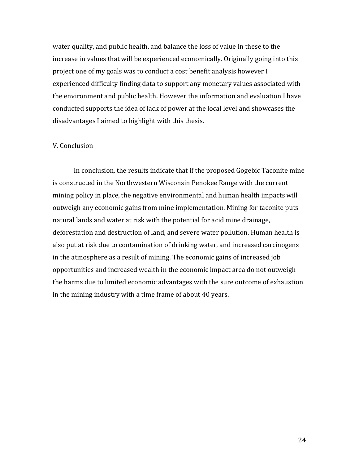water quality, and public health, and balance the loss of value in these to the increase in values that will be experienced economically. Originally going into this project one of my goals was to conduct a cost benefit analysis however I experienced difficulty finding data to support any monetary values associated with the environment and public health. However the information and evaluation I have conducted supports the idea of lack of power at the local level and showcases the disadvantages I aimed to highlight with this thesis.

## V. Conclusion

In conclusion, the results indicate that if the proposed Gogebic Taconite mine is constructed in the Northwestern Wisconsin Penokee Range with the current mining policy in place, the negative environmental and human health impacts will outweigh any economic gains from mine implementation. Mining for taconite puts natural lands and water at risk with the potential for acid mine drainage, deforestation and destruction of land, and severe water pollution. Human health is also put at risk due to contamination of drinking water, and increased carcinogens in the atmosphere as a result of mining. The economic gains of increased job opportunities and increased wealth in the economic impact area do not outweigh the harms due to limited economic advantages with the sure outcome of exhaustion in the mining industry with a time frame of about 40 years.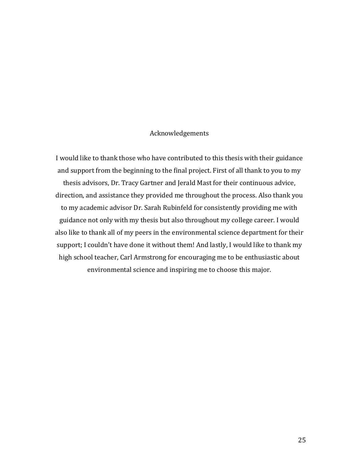## Acknowledgements

I would like to thank those who have contributed to this thesis with their guidance and support from the beginning to the final project. First of all thank to you to my thesis advisors, Dr. Tracy Gartner and Jerald Mast for their continuous advice, direction, and assistance they provided me throughout the process. Also thank you to my academic advisor Dr. Sarah Rubinfeld for consistently providing me with guidance not only with my thesis but also throughout my college career. I would also like to thank all of my peers in the environmental science department for their support; I couldn't have done it without them! And lastly, I would like to thank my high school teacher, Carl Armstrong for encouraging me to be enthusiastic about environmental science and inspiring me to choose this major.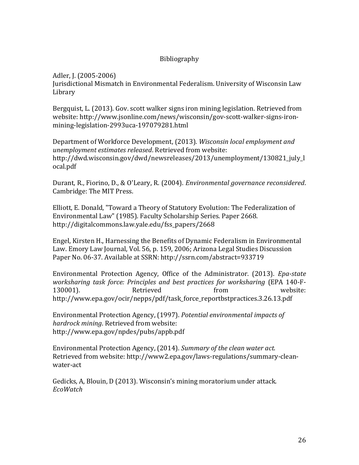## Bibliography

Adler, J. (2005-2006)

Jurisdictional Mismatch in Environmental Federalism. University of Wisconsin Law Library

Bergquist, L. (2013). Gov. scott walker signs iron mining legislation. Retrieved from website: http://www.jsonline.com/news/wisconsin/gov-scott-walker-signs-ironmining-legislation-2993uca-197079281.html

Department of Workforce Development, (2013). *Wisconsin local employment and unemployment estimates released*. Retrieved from website: http://dwd.wisconsin.gov/dwd/newsreleases/2013/unemployment/130821\_july\_l ocal.pdf

Durant, R., Fiorino, D., & O'Leary, R. (2004). *Environmental governance reconsidered*. Cambridge: The MIT Press.

Elliott, E. Donald, "Toward a Theory of Statutory Evolution: The Federalization of Environmental Law" (1985). Faculty Scholarship Series. Paper 2668. http://digitalcommons.law.yale.edu/fss\_papers/2668

Engel, Kirsten H., Harnessing the Benefits of Dynamic Federalism in Environmental Law. Emory Law Journal, Vol. 56, p. 159, 2006; Arizona Legal Studies Discussion Paper No. 06-37. Available at SSRN: http://ssrn.com/abstract=933719

Environmental Protection Agency, Office of the Administrator. (2013). *Epa-state worksharing task force: Principles and best practices for worksharing* (EPA 140-F-130001). Retrieved from website: http://www.epa.gov/ocir/nepps/pdf/task\_force\_reportbstpractices.3.26.13.pdf

Environmental Protection Agency, (1997). *Potential environmental impacts of hardrock mining*. Retrieved from website: http://www.epa.gov/npdes/pubs/appb.pdf

Environmental Protection Agency, (2014). *Summary of the clean water act.*  Retrieved from website: http://www2.epa.gov/laws-regulations/summary-cleanwater-act

Gedicks, A, Blouin, D (2013). Wisconsin's mining moratorium under attack. *EcoWatch*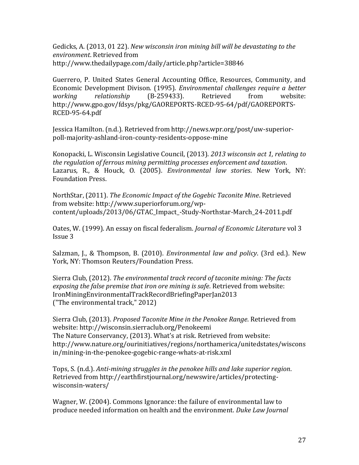Gedicks, A. (2013, 01 22). *New wisconsin iron mining bill will be devastating to the environment*. Retrieved from http://www.thedailypage.com/daily/article.php?article=38846

Guerrero, P. United States General Accounting Office, Resources, Community, and Economic Development Divison. (1995). *Environmental challenges require a better working relationship* (B-259433). Retrieved from website: http://www.gpo.gov/fdsys/pkg/GAOREPORTS-RCED-95-64/pdf/GAOREPORTS-RCED-95-64.pdf

Jessica Hamilton. (n.d.). Retrieved from http://news.wpr.org/post/uw-superiorpoll-majority-ashland-iron-county-residents-oppose-mine

Konopacki, L. Wisconsin Legislative Council, (2013). *2013 wisconsin act 1, relating to the regulation of ferrous mining permitting processes enforcement and taxation*. Lazarus, R., & Houck, O. (2005). *Environmental law stories*. New York, NY: Foundation Press.

NorthStar, (2011). *The Economic Impact of the Gogebic Taconite Mine*. Retrieved from website: http://www.superiorforum.org/wpcontent/uploads/2013/06/GTAC\_Impact\_-Study-Northstar-March\_24-2011.pdf

Oates, W. (1999). An essay on fiscal federalism. *Journal of Economic Literature* vol 3 Issue 3

Salzman, J., & Thompson, B. (2010). *Environmental law and policy*. (3rd ed.). New York, NY: Thomson Reuters/Foundation Press.

Sierra Club, (2012). *The environmental track record of taconite mining: The facts exposing the false premise that iron ore mining is safe*. Retrieved from website: IronMiningEnvironmentalTrackRecordBriefingPaperJan2013 ("The environmental track," 2012)

Sierra Club, (2013). *Proposed Taconite Mine in the Penokee Range*. Retrieved from website: http://wisconsin.sierraclub.org/Penokeemi The Nature Conservancy, (2013). What's at risk. Retrieved from website: http://www.nature.org/ourinitiatives/regions/northamerica/unitedstates/wiscons in/mining-in-the-penokee-gogebic-range-whats-at-risk.xml

Tops, S. (n.d.). *Anti-mining struggles in the penokee hills and lake superior region*. Retrieved from http://earthfirstjournal.org/newswire/articles/protectingwisconsin-waters/

Wagner, W. (2004). Commons Ignorance: the failure of environmental law to produce needed information on health and the environment. *Duke Law Journal*